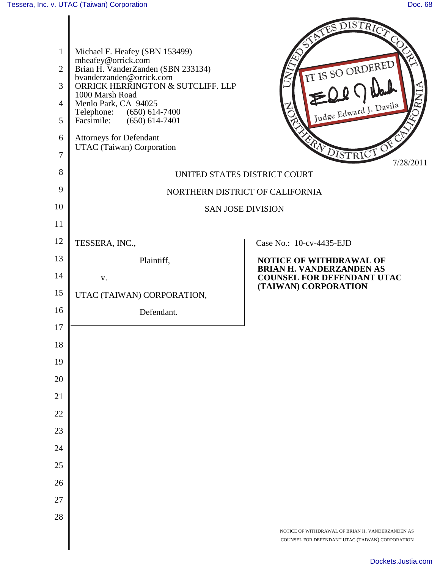|                |                                                                    | AS DISTRICT                                                                                         |
|----------------|--------------------------------------------------------------------|-----------------------------------------------------------------------------------------------------|
| $\mathbf{1}$   | Michael F. Heafey (SBN 153499)                                     |                                                                                                     |
| $\overline{2}$ | mheafey@orrick.com<br>Brian H. VanderZanden (SBN 233134)           | IT IS SO ORDERED                                                                                    |
| 3              | bvanderzanden@orrick.com<br>ORRICK HERRINGTON & SUTCLIFF. LLP      |                                                                                                     |
| $\overline{4}$ | 1000 Marsh Road<br>Menlo Park, CA 94025                            | Judge Edward J. Davila                                                                              |
| 5              | $(650)$ 614-7400<br>Telephone:<br>Facsimile:<br>$(650) 614 - 7401$ |                                                                                                     |
| 6              | Attorneys for Defendant<br>UTAC (Taiwan) Corporation               |                                                                                                     |
| $\overline{7}$ |                                                                    | FRICT DISTRICT<br>7/28/2011                                                                         |
| 8              |                                                                    | UNITED STATES DISTRICT COURT                                                                        |
| 9              |                                                                    | NORTHERN DISTRICT OF CALIFORNIA                                                                     |
| 10             |                                                                    | <b>SAN JOSE DIVISION</b>                                                                            |
| 11             |                                                                    |                                                                                                     |
| 12             | TESSERA, INC.,                                                     | Case No.: 10-cv-4435-EJD                                                                            |
| 13             | Plaintiff,                                                         | <b>NOTICE OF WITHDRAWAL OF</b><br><b>BRIAN H. VANDERZANDEN AS</b>                                   |
| 14             | V.                                                                 | <b>COUNSEL FOR DEFENDANT UTAC</b><br>(TAIWAN) CORPORATION                                           |
| 15             | UTAC (TAIWAN) CORPORATION,                                         |                                                                                                     |
| 16             | Defendant.                                                         |                                                                                                     |
| 17             |                                                                    |                                                                                                     |
| 18             |                                                                    |                                                                                                     |
| 19             |                                                                    |                                                                                                     |
| 20             |                                                                    |                                                                                                     |
| 21             |                                                                    |                                                                                                     |
| 22<br>23       |                                                                    |                                                                                                     |
| 24             |                                                                    |                                                                                                     |
| 25             |                                                                    |                                                                                                     |
| 26             |                                                                    |                                                                                                     |
| 27             |                                                                    |                                                                                                     |
| 28             |                                                                    |                                                                                                     |
|                |                                                                    | NOTICE OF WITHDRAWAL OF BRIAN H. VANDERZANDEN AS<br>COUNSEL FOR DEFENDANT UTAC (TAIWAN) CORPORATION |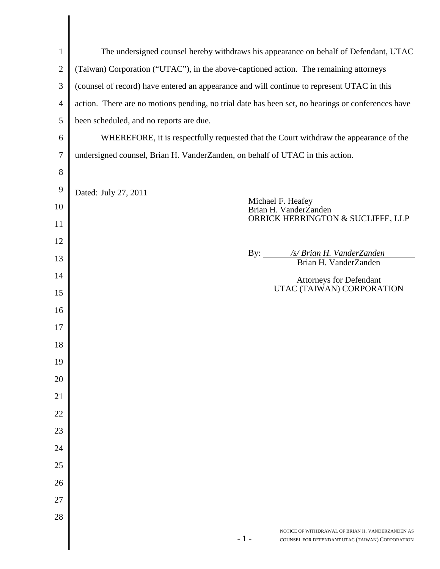| $\mathbf{1}$   | The undersigned counsel hereby withdraws his appearance on behalf of Defendant, UTAC                         |  |
|----------------|--------------------------------------------------------------------------------------------------------------|--|
| $\overline{2}$ | (Taiwan) Corporation ("UTAC"), in the above-captioned action. The remaining attorneys                        |  |
| 3              | (counsel of record) have entered an appearance and will continue to represent UTAC in this                   |  |
| $\overline{4}$ | action. There are no motions pending, no trial date has been set, no hearings or conferences have            |  |
| 5              | been scheduled, and no reports are due.                                                                      |  |
| 6              | WHEREFORE, it is respectfully requested that the Court withdraw the appearance of the                        |  |
| 7              | undersigned counsel, Brian H. VanderZanden, on behalf of UTAC in this action.                                |  |
| 8              |                                                                                                              |  |
| 9              | Dated: July 27, 2011                                                                                         |  |
| 10             | Michael F. Heafey<br>Brian H. VanderZanden                                                                   |  |
| 11             | ORRICK HERRINGTON & SUCLIFFE, LLP                                                                            |  |
| 12             |                                                                                                              |  |
| 13             | /s/ Brian H. VanderZanden<br>By:<br>Brian H. VanderZanden                                                    |  |
| 14             | Attorneys for Defendant                                                                                      |  |
| 15             | UTAC (TAIWAN) CORPORATION                                                                                    |  |
| 16             |                                                                                                              |  |
| 17             |                                                                                                              |  |
| 18             |                                                                                                              |  |
| 19             |                                                                                                              |  |
| 20             |                                                                                                              |  |
| 21             |                                                                                                              |  |
| 22             |                                                                                                              |  |
| 23             |                                                                                                              |  |
| 24             |                                                                                                              |  |
| 25             |                                                                                                              |  |
| 26             |                                                                                                              |  |
| 27             |                                                                                                              |  |
| 28             |                                                                                                              |  |
|                | NOTICE OF WITHDRAWAL OF BRIAN H. VANDERZANDEN AS<br>$-1-$<br>COUNSEL FOR DEFENDANT UTAC (TAIWAN) CORPORATION |  |